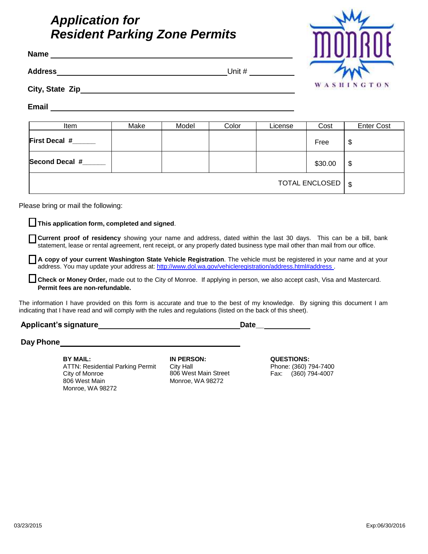# *Application for Resident Parking Zone Permits*

| <b>Address</b>                      |      |       |       |         |            |                           |
|-------------------------------------|------|-------|-------|---------|------------|---------------------------|
|                                     |      |       |       |         | WASHINGTON |                           |
|                                     |      |       |       |         |            |                           |
| Item                                | Make | Model | Color | License | Cost       | <b>Enter Cost</b>         |
| First Decal #_____                  |      |       |       |         | Free       | \$                        |
| Second Decal #______                |      |       |       |         | \$30.00    | \$                        |
| TOTAL ENCLOSED                      |      |       |       |         |            | $\boldsymbol{\mathsf{S}}$ |
| Please bring or mail the following: |      |       |       |         |            |                           |

**Current proof of residency** showing your name and address, dated within the last 30 days. This can be a bill, bank statement, lease or rental agreement, rent receipt, or any properly dated business type mail other than mail from our office.

**A copy of your current Washington State Vehicle Registration**. The vehicle must be registered in your name and at your address. You may update your address at[: http://www.dol.wa.gov/vehicleregistration/address.html#address](http://www.dol.wa.gov/vehicleregistration/address.html#address) .

**Check or Money Order,** made out to the City of Monroe. If applying in person, we also accept cash, Visa and Mastercard. **Permit fees are non-refundable.**

The information I have provided on this form is accurate and true to the best of my knowledge. By signing this document I am indicating that I have read and will comply with the rules and regulations (listed on the back of this sheet).

## **Applicant's signature Date\_\_**

**Day Phone**

**BY MAIL: IN PERSON: QUESTIONS:** ATTN: Residential Parking Permit City of Monroe Monroe, WA 98272

City Hall 806 West Main Street Monroe, WA 98272

Phone: (360) 794-7400 Fax: (360) 794-4007